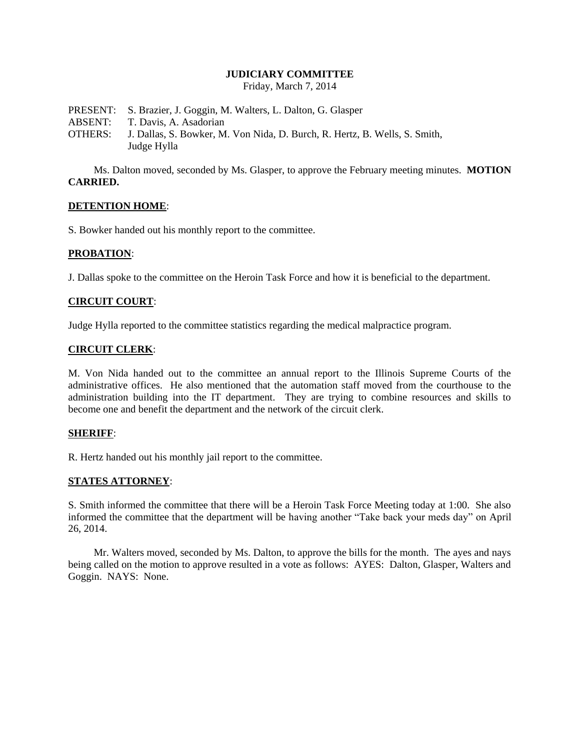### **JUDICIARY COMMITTEE**

Friday, March 7, 2014

PRESENT: S. Brazier, J. Goggin, M. Walters, L. Dalton, G. Glasper ABSENT: T. Davis, A. Asadorian OTHERS: J. Dallas, S. Bowker, M. Von Nida, D. Burch, R. Hertz, B. Wells, S. Smith, Judge Hylla

Ms. Dalton moved, seconded by Ms. Glasper, to approve the February meeting minutes. **MOTION CARRIED.**

### **DETENTION HOME**:

S. Bowker handed out his monthly report to the committee.

### **PROBATION**:

J. Dallas spoke to the committee on the Heroin Task Force and how it is beneficial to the department.

# **CIRCUIT COURT**:

Judge Hylla reported to the committee statistics regarding the medical malpractice program.

# **CIRCUIT CLERK**:

M. Von Nida handed out to the committee an annual report to the Illinois Supreme Courts of the administrative offices. He also mentioned that the automation staff moved from the courthouse to the administration building into the IT department. They are trying to combine resources and skills to become one and benefit the department and the network of the circuit clerk.

#### **SHERIFF**:

R. Hertz handed out his monthly jail report to the committee.

# **STATES ATTORNEY**:

S. Smith informed the committee that there will be a Heroin Task Force Meeting today at 1:00. She also informed the committee that the department will be having another "Take back your meds day" on April 26, 2014.

Mr. Walters moved, seconded by Ms. Dalton, to approve the bills for the month. The ayes and nays being called on the motion to approve resulted in a vote as follows: AYES: Dalton, Glasper, Walters and Goggin. NAYS: None.